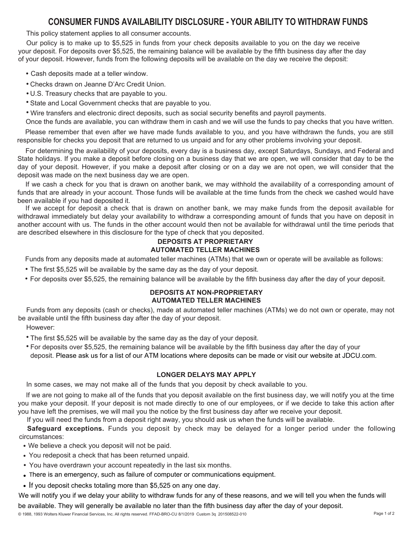# **CONSUMER FUNDS AVAILABILITY DISCLOSURE - YOUR ABILITY TO WITHDRAW FUNDS**

This policy statement applies to all consumer accounts.

Our policy is to make up to \$5,525 in funds from your check deposits available to you on the day we receive your deposit. For deposits over \$5,525, the remaining balance will be available by the fifth business day after the day of your deposit. However, funds from the following deposits will be available on the day we receive the deposit:

- **•** Cash deposits made at a teller window.
- **•** Checks drawn on Jeanne D'Arc Credit Union.
- **•** U.S. Treasury checks that are payable to you.
- **•** State and Local Government checks that are payable to you.
- **•** Wire transfers and electronic direct deposits, such as social security benefits and payroll payments.

Once the funds are available, you can withdraw them in cash and we will use the funds to pay checks that you have written.

Please remember that even after we have made funds available to you, and you have withdrawn the funds, you are still responsible for checks you deposit that are returned to us unpaid and for any other problems involving your deposit.

For determining the availability of your deposits, every day is a business day, except Saturdays, Sundays, and Federal and State holidays. If you make a deposit before closing on a business day that we are open, we will consider that day to be the day of your deposit. However, if you make a deposit after closing or on a day we are not open, we will consider that the deposit was made on the next business day we are open.

If we cash a check for you that is drawn on another bank, we may withhold the availability of a corresponding amount of funds that are already in your account. Those funds will be available at the time funds from the check we cashed would have been available if you had deposited it.

If we accept for deposit a check that is drawn on another bank, we may make funds from the deposit available for withdrawal immediately but delay your availability to withdraw a corresponding amount of funds that you have on deposit in another account with us. The funds in the other account would then not be available for withdrawal until the time periods that are described elsewhere in this disclosure for the type of check that you deposited.

### **DEPOSITS AT PROPRIETARY AUTOMATED TELLER MACHINES**

Funds from any deposits made at automated teller machines (ATMs) that we own or operate will be available as follows:

- **•** The first \$5,525 will be available by the same day as the day of your deposit.
- **•** For deposits over \$5,525, the remaining balance will be available by the fifth business day after the day of your deposit.

#### **DEPOSITS AT NON-PROPRIETARY AUTOMATED TELLER MACHINES**

Funds from any deposits (cash or checks), made at automated teller machines (ATMs) we do not own or operate, may not be available until the fifth business day after the day of your deposit.

However:

**•** The first \$5,525 will be available by the same day as the day of your deposit.

**•** For deposits over \$5,525, the remaining balance will be available by the fifth business day after the day of your deposit. Please ask us for a list of our ATM locations where deposits can be made or visit our website at JDCU.com.

## **LONGER DELAYS MAY APPLY**

In some cases, we may not make all of the funds that you deposit by check available to you.

If we are not going to make all of the funds that you deposit available on the first business day, we will notify you at the time you make your deposit. If your deposit is not made directly to one of our employees, or if we decide to take this action after you have left the premises, we will mail you the notice by the first business day after we receive your deposit.

If you will need the funds from a deposit right away, you should ask us when the funds will be available.

**Safeguard exceptions.** Funds you deposit by check may be delayed for a longer period under the following circumstances:

- **•** We believe a check you deposit will not be paid.
- **•** You redeposit a check that has been returned unpaid.
- **•** You have overdrawn your account repeatedly in the last six months.
- There is an emergency, such as failure of computer or communications equipment. •
- If you deposit checks totaling more than \$5,525 on any one day.

We will notify you if we delay your ability to withdraw funds for any of these reasons, and we will tell you when the funds will

be available. They will generally be available no later than the fifth business day after the day of your deposit.